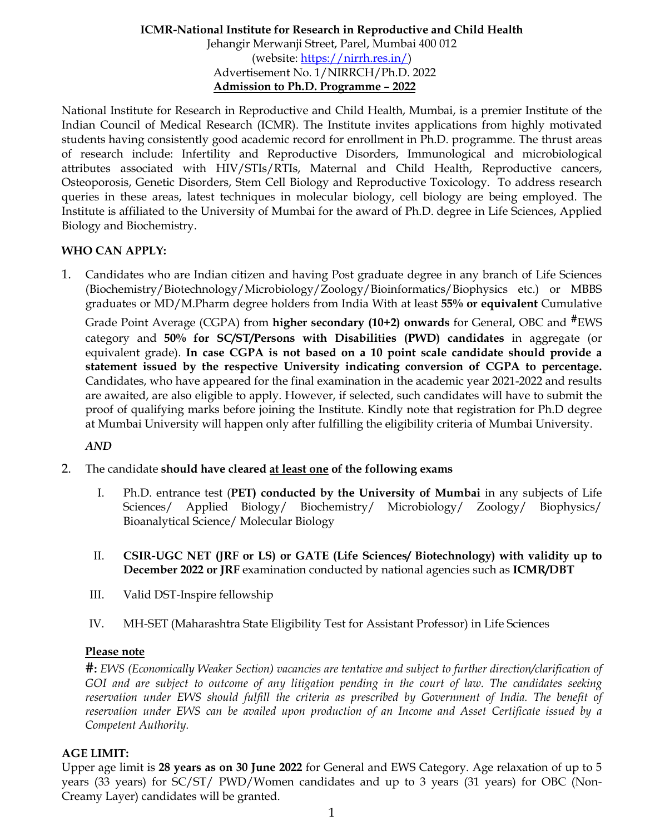## **ICMR-National Institute for Research in Reproductive and Child Health** Jehangir Merwanji Street, Parel, Mumbai 400 012 (website: [https://nirrh.res.in/\)](https://nirrh.res.in/) Advertisement No. 1/NIRRCH/Ph.D. 2022 **Admission to Ph.D. Programme – 2022**

National Institute for Research in Reproductive and Child Health, Mumbai, is a premier Institute of the Indian Council of Medical Research (ICMR). The Institute invites applications from highly motivated students having consistently good academic record for enrollment in Ph.D. programme. The thrust areas of research include: Infertility and Reproductive Disorders, Immunological and microbiological attributes associated with HIV/STIs/RTIs, Maternal and Child Health, Reproductive cancers, Osteoporosis, Genetic Disorders, Stem Cell Biology and Reproductive Toxicology. To address research queries in these areas, latest techniques in molecular biology, cell biology are being employed. The Institute is affiliated to the University of Mumbai for the award of Ph.D. degree in Life Sciences, Applied Biology and Biochemistry.

## **WHO CAN APPLY:**

1. Candidates who are Indian citizen and having Post graduate degree in any branch of Life Sciences (Biochemistry/Biotechnology/Microbiology/Zoology/Bioinformatics/Biophysics etc.) or MBBS graduates or MD/M.Pharm degree holders from India With at least **55% or equivalent** Cumulative

Grade Point Average (CGPA) from **higher secondary (10+2) onwards** for General, OBC and **#**EWS category and **50% for SC/ST/Persons with Disabilities (PWD) candidates** in aggregate (or equivalent grade). **In case CGPA is not based on a 10 point scale candidate should provide a statement issued by the respective University indicating conversion of CGPA to percentage.** Candidates, who have appeared for the final examination in the academic year 2021-2022 and results are awaited, are also eligible to apply. However, if selected, such candidates will have to submit the proof of qualifying marks before joining the Institute. Kindly note that registration for Ph.D degree at Mumbai University will happen only after fulfilling the eligibility criteria of Mumbai University.

#### *AND*

- 2. The candidate **should have cleared at least one of the following exams**
	- I. Ph.D. entrance test (**PET) conducted by the University of Mumbai** in any subjects of Life Sciences/ Applied Biology/ Biochemistry/ Microbiology/ Zoology/ Biophysics/ Bioanalytical Science/ Molecular Biology
	- II. **CSIR-UGC NET (JRF or LS) or GATE (Life Sciences/ Biotechnology) with validity up to December 2022 or JRF** examination conducted by national agencies such as **ICMR/DBT**
	- III. Valid DST-Inspire fellowship
	- IV. MH-SET (Maharashtra State Eligibility Test for Assistant Professor) in Life Sciences

### **Please note**

**#:** *EWS (Economically Weaker Section) vacancies are tentative and subject to further direction/clarification of GOI and are subject to outcome of any litigation pending in the court of law. The candidates seeking*  reservation under EWS should fulfill the criteria as prescribed by Government of India. The benefit of *reservation under EWS can be availed upon production of an Income and Asset Certificate issued by a Competent Authority.*

## **AGE LIMIT:**

Upper age limit is **28 years as on 30 June 2022** for General and EWS Category. Age relaxation of up to 5 years (33 years) for SC/ST/ PWD/Women candidates and up to 3 years (31 years) for OBC (Non-Creamy Layer) candidates will be granted.